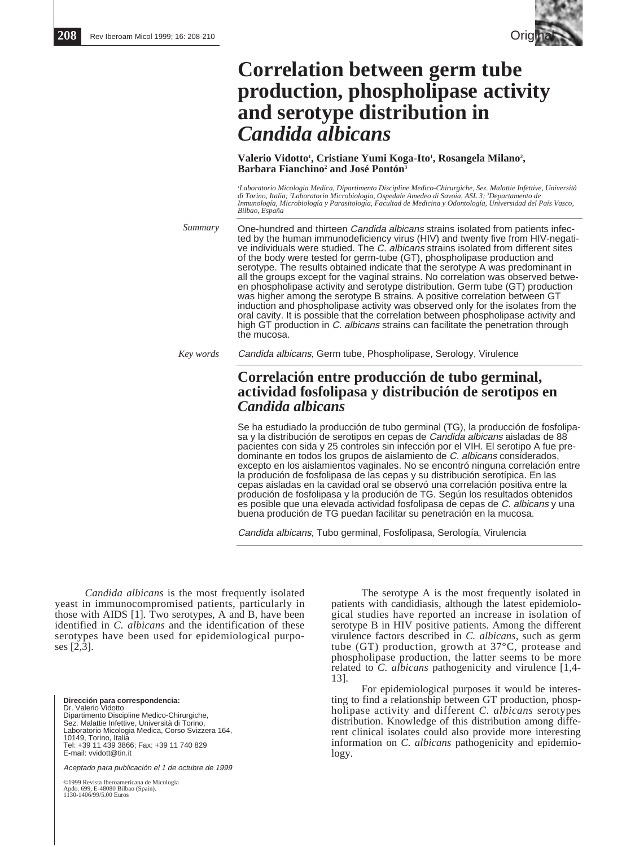

# **Correlation between germ tube production, phospholipase activity and serotype distribution in** *Candida albicans*

Valerio Vidotto<sup>1</sup>, Cristiane Yumi Koga-Ito<sup>1</sup>, Rosangela Milano<sup>2</sup>, **Barbara Fianchino2 and José Pontón3**

'Laboratorio Micologia Medica, Dipartimento Discipline Medico-Chirurgiche, Sez. Malattie Infettive, Università<br>di Torino, Italia; "Laboratorio Microbiologia, Ospedale Amedeo di Savoia, ASL 3; "Departamento de<br>Inmunología, *Bilbao, España*

One-hundred and thirteen Candida albicans strains isolated from patients infected by the human immunodeficiency virus (HIV) and twenty five from HIV-negative individuals were studied. The C. albicans strains isolated from different sites of the body were tested for germ-tube (GT), phospholipase production and serotype. The results obtained indicate that the serotype A was predominant in all the groups except for the vaginal strains. No correlation was observed between phospholipase activity and serotype distribution. Germ tube (GT) production was higher among the serotype B strains. A positive correlation between GT induction and phospholipase activity was observed only for the isolates from the oral cavity. It is possible that the correlation between phospholipase activity and high GT production in C. albicans strains can facilitate the penetration through the mucosa. *Summary*

*Key words*

Candida albicans, Germ tube, Phospholipase, Serology, Virulence

# **Correlación entre producción de tubo germinal, actividad fosfolipasa y distribución de serotipos en** *Candida albicans*

Se ha estudiado la producción de tubo germinal (TG), la producción de fosfolipasa y la distribución de serotipos en cepas de Candida albicans aisladas de 88 pacientes con sida y 25 controles sin infección por el VIH. El serotipo A fue predominante en todos los grupos de aislamiento de C. albicans considerados, excepto en los aislamientos vaginales. No se encontró ninguna correlación entre la produción de fosfolipasa de las cepas y su distribución serotípica. En las cepas aisladas en la cavidad oral se observó una correlación positiva entre la produción de fosfolipasa y la produción de TG. Según los resultados obtenidos es posible que una elevada actividad fosfolipasa de cepas de C. albicans y una buena produción de TG puedan facilitar su penetración en la mucosa.

Candida albicans, Tubo germinal, Fosfolipasa, Serología, Virulencia

*Candida albicans* is the most frequently isolated yeast in immunocompromised patients, particularly in those with AIDS [1]. Two serotypes, A and B, have been identified in *C. albicans* and the identification of these serotypes have been used for epidemiological purposes [2,3].

**Dirección para correspondencia:**  Dr. Valerio Vidotto Dipartimento Discipline Medico-Chirurgiche, Sez. Malattie Infettive, Università di Torino, Laboratorio Micologia Medica, Corso Svizzera 164, 10149, Torino, Italia Tel: +39 11 439 3866; Fax: +39 11 740 829 E-mail: vvidott@tin.it

Aceptado para publicación el 1 de octubre de 1999

©1999 Revista Iberoamericana de Micología Apdo. 699, E-48080 Bilbao (Spain). 1130-1406/99/5.00 Euros

The serotype A is the most frequently isolated in patients with candidiasis, although the latest epidemiological studies have reported an increase in isolation of serotype B in HIV positive patients. Among the different virulence factors described in *C. albicans*, such as germ tube (GT) production, growth at 37°C, protease and phospholipase production, the latter seems to be more related to *C. albicans* pathogenicity and virulence [1,4- 13].

For epidemiological purposes it would be interesting to find a relationship between GT production, phospholipase activity and different *C. albicans* serotypes distribution. Knowledge of this distribution among different clinical isolates could also provide more interesting information on *C. albicans* pathogenicity and epidemiology.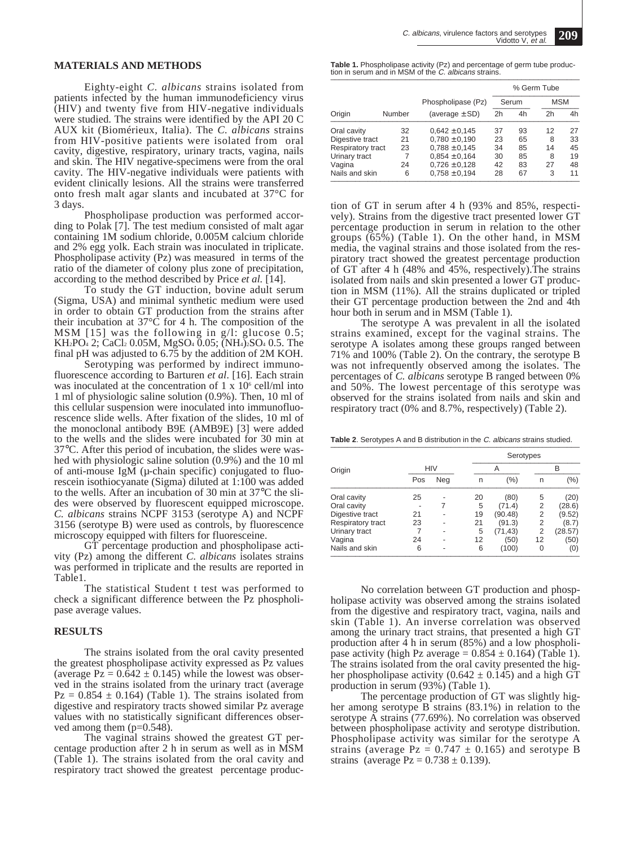### **MATERIALS AND METHODS**

Eighty-eight *C. albicans* strains isolated from patients infected by the human immunodeficiency virus (HIV) and twenty five from HIV-negative individuals were studied. The strains were identified by the API 20 C AUX kit (Biomérieux, Italia). The *C. albicans* strains from HIV-positive patients were isolated from oral cavity, digestive, respiratory, urinary tracts, vagina, nails and skin. The HIV negative-specimens were from the oral cavity. The HIV-negative individuals were patients with evident clinically lesions. All the strains were transferred onto fresh malt agar slants and incubated at 37°C for 3 days.

Phospholipase production was performed according to Polak [7]. The test medium consisted of malt agar containing 1M sodium chloride, 0.005M calcium chloride and 2% egg yolk. Each strain was inoculated in triplicate. Phospholipase activity (Pz) was measured in terms of the ratio of the diameter of colony plus zone of precipitation, according to the method described by Price *et al.* [14].

To study the GT induction, bovine adult serum (Sigma, USA) and minimal synthetic medium were used in order to obtain GT production from the strains after their incubation at  $37^{\circ}$ C for 4 h. The composition of the MSM [15] was the following in g/l: glucose 0.5; KH2PO4 2; CaCl2 0.05M, MgSO4 0.05; (NH4)2SO4 0.5. The final pH was adjusted to 6.75 by the addition of 2M KOH.

Serotyping was performed by indirect immunofluorescence according to Barturen *et al*. [16]. Each strain was inoculated at the concentration of  $1 \times 10^6$  cell/ml into 1 ml of physiologic saline solution (0.9%). Then, 10 ml of this cellular suspension were inoculated into immunofluorescence slide wells. After fixation of the slides, 10 ml of the monoclonal antibody B9E (AMB9E) [3] were added to the wells and the slides were incubated for 30 min at 37°C. After this period of incubation, the slides were washed with physiologic saline solution (0.9%) and the 10 ml of anti-mouse IgM ( $\mu$ -chain specific) conjugated to fluorescein isothiocyanate (Sigma) diluted at 1:100 was added to the wells. After an incubation of 30 min at 37°C the slides were observed by fluorescent equipped microscope. *C. albicans* strains NCPF 3153 (serotype A) and NCPF 3156 (serotype B) were used as controls, by fluorescence microscopy equipped with filters for fluoresceine.

GT percentage production and phospholipase activity (Pz) among the different *C. albicans* isolates strains was performed in triplicate and the results are reported in Table1.

The statistical Student t test was performed to check a significant difference between the Pz phospholipase average values.

#### **RESULTS**

The strains isolated from the oral cavity presented the greatest phospholipase activity expressed as Pz values (average  $Pz = 0.642 \pm 0.145$ ) while the lowest was observed in the strains isolated from the urinary tract (average  $Pz = 0.854 \pm 0.164$ ) (Table 1). The strains isolated from digestive and respiratory tracts showed similar Pz average values with no statistically significant differences observed among them (p=0.548).

The vaginal strains showed the greatest GT percentage production after 2 h in serum as well as in MSM (Table 1). The strains isolated from the oral cavity and respiratory tract showed the greatest percentage produc-

**Table 1.** Phospholipase activity (Pz) and percentage of germ tube produc-<br>tion in serum and in MSM of the *C. albicans* strains.

|                   |        |                    | % Germ Tube |    |                |    |
|-------------------|--------|--------------------|-------------|----|----------------|----|
|                   |        | Phospholipase (Pz) | Serum       |    | <b>MSM</b>     |    |
| Origin            | Number | (average $\pm$ SD) | 2h          | 4h | 2 <sub>h</sub> | 4h |
| Oral cavity       | 32     | $0,642 \pm 0,145$  | 37          | 93 | 12             | 27 |
| Digestive tract   | 21     | $0.780 \pm 0.190$  | 23          | 65 | 8              | 33 |
| Respiratory tract | 23     | $0,788 \pm 0,145$  | 34          | 85 | 14             | 45 |
| Urinary tract     |        | $0.854 \pm 0.164$  | 30          | 85 | 8              | 19 |
| Vagina            | 24     | $0,726 \pm 0,128$  | 42          | 83 | 27             | 48 |
| Nails and skin    | 6      | $0.758 \pm 0.194$  | 28          | 67 | 3              | 11 |

tion of GT in serum after 4 h (93% and 85%, respectively). Strains from the digestive tract presented lower GT percentage production in serum in relation to the other groups (65%) (Table 1). On the other hand, in MSM media, the vaginal strains and those isolated from the respiratory tract showed the greatest percentage production of GT after 4 h (48% and 45%, respectively).The strains isolated from nails and skin presented a lower GT production in MSM (11%). All the strains duplicated or tripled their GT percentage production between the 2nd and 4th hour both in serum and in MSM (Table 1).

The serotype A was prevalent in all the isolated strains examined, except for the vaginal strains. The serotype A isolates among these groups ranged between 71% and 100% (Table 2). On the contrary, the serotype B was not infrequently observed among the isolates. The percentages of *C. albicans* serotype B ranged between 0% and 50%. The lowest percentage of this serotype was observed for the strains isolated from nails and skin and respiratory tract (0% and 8.7%, respectively) (Table 2).

Table 2. Serotypes A and B distribution in the C. albicans strains studied.

|                   |            |     |    | Serotypes |    |         |  |  |  |
|-------------------|------------|-----|----|-----------|----|---------|--|--|--|
| Origin            | <b>HIV</b> |     | Α  |           |    | B       |  |  |  |
|                   | Pos        | Neg | n  | (%)       | n  | (%)     |  |  |  |
| Oral cavity       | 25         |     | 20 | (80)      | 5  | (20)    |  |  |  |
| Oral cavity       |            |     | 5  | (71.4)    | 2  | (28.6)  |  |  |  |
| Digestive tract   | 21         |     | 19 | (90.48)   | 2  | (9.52)  |  |  |  |
| Respiratory tract | 23         |     | 21 | (91.3)    | 2  | (8.7)   |  |  |  |
| Urinary tract     | 7          |     | 5  | (71, 43)  | 2  | (28.57) |  |  |  |
| Vagina            | 24         |     | 12 | (50)      | 12 | (50)    |  |  |  |
| Nails and skin    | 6          |     | 6  | (100)     | 0  | (0)     |  |  |  |

No correlation between GT production and phospholipase activity was observed among the strains isolated from the digestive and respiratory tract, vagina, nails and skin (Table 1). An inverse correlation was observed among the urinary tract strains, that presented a high GT production after  $\ddot{4}$  h in serum (85%) and a low phospholipase activity (high Pz average =  $0.854 \pm 0.164$ ) (Table 1). The strains isolated from the oral cavity presented the higher phospholipase activity (0.642  $\pm$  0.145) and a high GT production in serum (93%) (Table 1).

The percentage production of GT was slightly higher among serotype B strains (83.1%) in relation to the serotype A strains (77.69%). No correlation was observed between phospholipase activity and serotype distribution. Phospholipase activity was similar for the serotype A strains (average  $Pz = 0.747 \pm 0.165$ ) and serotype B strains (average  $Pz = 0.738 \pm 0.139$ ).